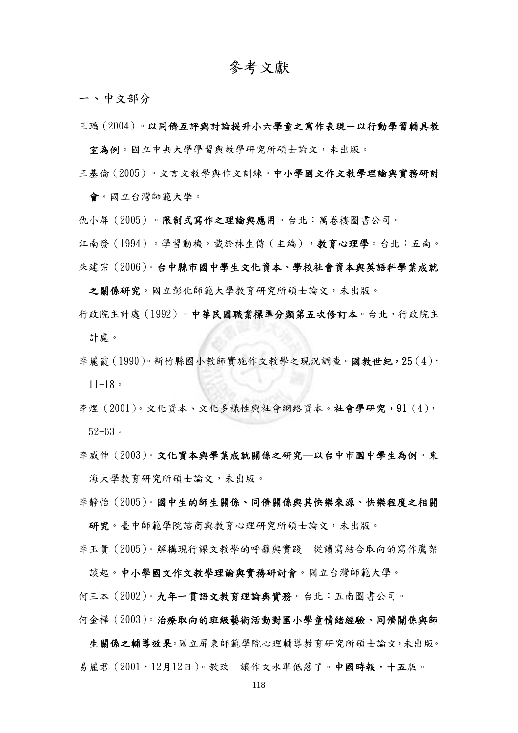## 參考文獻

一、中文部分

王瑀(2004)。以同儕互評與討論提升小六學童之寫作表現-以行動學習輔具教

室為例。國立中央大學學習與教學研究所碩士論文,未出版。

王基倫(2005)。文言文教學與作文訓練。中小學國文作文教學理論與實務研討 會。國立台灣師範大學。

仇小屏(2005)。限制式寫作之理論與應用。台北:萬卷樓圖書公司。

江南發(1994)。學習動機。載於林生傳(主編),教育心理學。台北:五南。 朱建宗(2006)。台中縣市國中學生文化資本、學校社會資本與英語科學業成就

之關係研究。國立彰化師範大學教育研究所碩士論文,未出版。

- 行政院主計處(1992)。中華民國職業標準分類第五次修訂本。台北,行政院主 計處。
- 李麗霞(1990)。新竹縣國小教師實施作文教學之現況調查。國教世紀,25(4),  $11 - 18$
- 李煜(2001)。文化資本、文化多樣性與社會網絡資本。社會學研究,91(4), 52-63。
- 李威伸(2003)。文化資本與學業成就關係之研究─以台中市國中學生為例。東 海大學教育研究所碩士論文,未出版。
- 李靜怡(2005)。國中生的師生關係、同儕關係與其快樂來源、快樂程度之相關 研究。臺中師範學院諮商與教育心理研究所碩士論文,未出版。
- 李玉貴(2005)。解構現行課文教學的呼籲與實踐-從讀寫結合取向的寫作鷹架

何三本(2002)。九年一貫語文教育理論與實務。台北:五南圖書公司。

談起。中小學國文作文教學理論與實務研討會。國立台灣師範大學。

何金樺(2003)。治療取向的班級藝術活動對國小學童情緒經驗、同儕關係與師

生關係之輔導效果。國立屏東師範學院心理輔導教育研究所碩士論文,未出版。 易麗君(2001,12月12日)。教改-讓作文水準低落了。中國時報,十五版。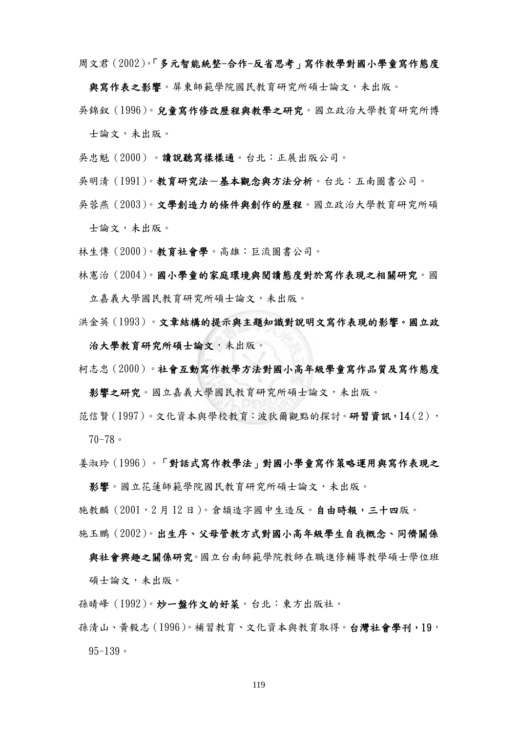周文君(2002)。「多元智能統整-合作-反省思考」寫作教學對國小學童寫作態度

與寫作表之影響。屏東師範學院國民教育研究所碩士論文,未出版。

吳錦釵(1996)。兒童寫作修改歷程與教學之研究。國立政治大學教育研究所博 士論文,未出版。

- 吳忠魁(2000)。讀說聽寫樣樣通。台北:正展出版公司。
- 吳明清(1991)。教育研究法-基本觀念與方法分析。台北:五南圖書公司。
- 吳蓉燕(2003)。文學創造力的條件與創作的歷程。國立政治大學教育研究所碩 士論文,未出版。
- 林生傳(2000)。教育社會學。高雄:巨流圖書公司。
- 林憲治(2004)。國小學童的家庭環境與閱讀態度對於寫作表現之相關研究。國 立嘉義大學國民教育研究所碩士論文,未出版。
- 洪金英(1993)。文章結構的提示與主題知識對說明文寫作表現的影響。國立政
- 治大學教育研究所碩士論文,未出版。
- 柯志忠(2000)。社會互動寫作教學方法對國小高年級學童寫作品質及寫作態度
- 影響之研究。國立嘉義大學國民教育研究所碩士論文,未出版。
- 范信賢(1997)。文化資本與學校教育:波狄爾觀點的探討。研習資訊,14(2), 70-78。
- 姜淑玲(1996)。「對話式寫作教學法」對國小學童寫作策略運用與寫作表現之

影響。國立花蓮師範學院國民教育研究所碩士論文,未出版。

施教麟(2001,2 月 12 日)。倉頡造字國中生造反。自由時報,三十四版。

施玉鵬(2002)。出生序、父母管教方式對國小高年級學生自我概念、同儕關係

與社會興趣之關係研究。國立台南師範學院教師在職進修輔導教學碩士學位班 碩士論文,未出版。

- 孫晴峰(1992)。炒一盤作文的好菜。台北:東方出版社。
- 孫清山、黃毅志(1996)。補習教育、文化資本與教育取得。台灣社會學刊,19,  $95-139$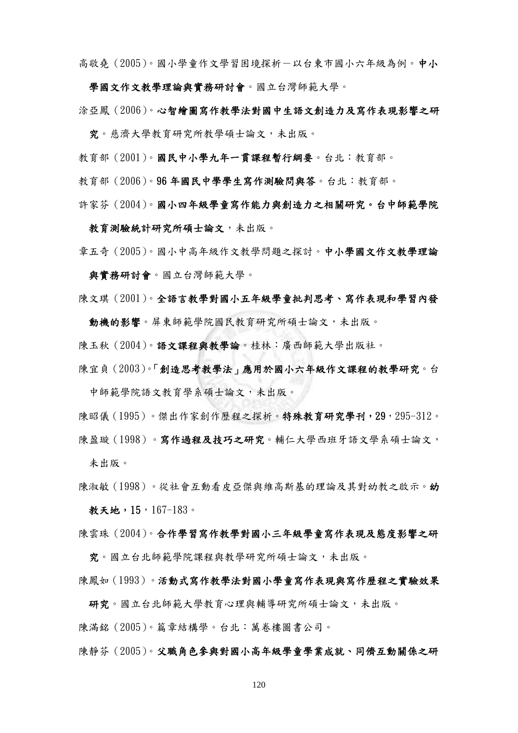高敬堯(2005)。國小學童作文學習困境探析-以台東市國小六年級為例。中小

學國文作文教學理論與實務研討會。國立台灣師範大學。

涂亞鳳(2006)。心智繪圖寫作教學法對國中生語文創造力及寫作表現影響之研

究。慈濟大學教育研究所教學碩士論文,未出版。

教育部(2001)。國民中小學九年一貫課程暫行綱要。台北:教育部。

教育部(2006)。96 年國民中學學生寫作測驗問與答。台北:教育部。

許家芬(2004)。國小四年級學童寫作能力與創造力之相關研究。台中師範學院

教育測驗統計研究所碩士論文,未出版。

章五奇(2005)。國小中高年級作文教學問題之探討。中小學國文作文教學理論 與實務研討會。國立台灣師範大學。

陳文琪(2001)。全語言教學對國小五年級學童批判思考、寫作表現和學習內發

動機的影響。屏東師範學院國民教育研究所碩士論文,未出版。

陳玉秋(2004)。語文課程與教學論。桂林:廣西師範大學出版社。

陳宜貞(2003)。「創造思考教學法」應用於國小六年級作文課程的教學研究。台 中師範學院語文教育學系碩士論文,未出版。

陳昭儀(1995)。傑出作家創作歷程之探析。特殊教育研究學刊,29,295-312。

陳盈璇(1998)。富作過程及技巧之研究。輔仁大學西班牙語文學系碩士論文, 未出版。

陳淑敏(1998)。從社會互動看皮亞傑與維高斯基的理論及其對幼教之啟示。幼 教天地,15,167-183。

陳雲珠(2004)。合作學習寫作教學對國小三年級學童寫作表現及態度影響之研

究。國立台北師範學院課程與教學研究所碩士論文,未出版。

陳鳳如(1993)。活動式寫作教學法對國小學童寫作表現與寫作歷程之實驗效果

研究。國立台北師範大學教育心理與輔導研究所碩士論文,未出版。

陳滿銘(2005)。篇章結構學。台北:萬卷樓圖書公司。

陳靜芬(2005)。父職角色參與對國小高年級學童學業成就、同儕互動關係之研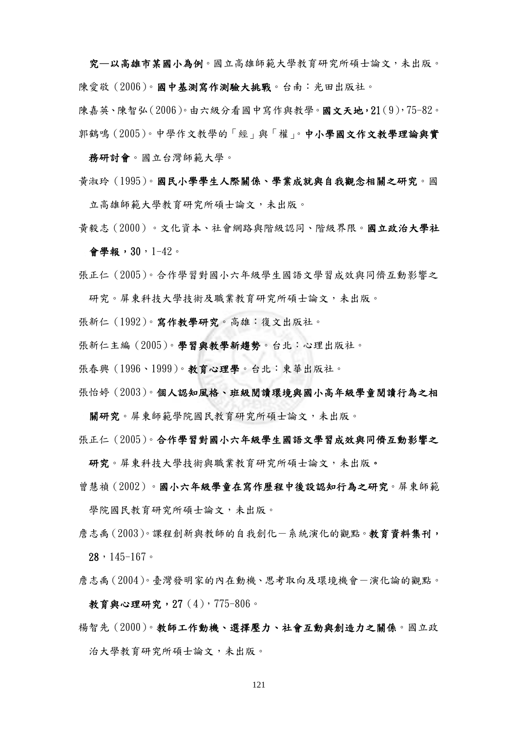究—以高雄市某國小為例。國立高雄師範大學教育研究所碩士論文,未出版。 陳愛敬(2006)。國中基測寫作測驗大挑戰。台南:光田出版社。 陳嘉英、陳智弘(2006)。由六級分看國中寫作與教學。國文天地,21(9),75-82。 郭鶴鳴(2005)。中學作文教學的「經」與「權」。中小學國文作文教學理論與實

務研討會。國立台灣師範大學。

黃淑玲(1995)。國民小學學生人際關係、學業成就與自我觀念相關之研究。國

立高雄師範大學教育研究所碩士論文,未出版。

- 黃毅志(2000)。文化資本、社會網路與階級認同、階級界限。國立政治大學社 會學報,30,1-42。
- 張正仁(2005)。合作學習對國小六年級學生國語文學習成效與同儕互動影響之 研究。屏東科技大學技術及職業教育研究所碩士論文,未出版。
- 張新仁(1992)。寫作教學研究。高雄:復文出版社。
- 張新仁主編(2005)。學習與教學新趨勢。台北:心理出版社。
- 張春興(1996、1999)。教育心理學。台北:東華出版社。
- 張怡婷(2003)。個人認知風格、班級閱讀環境與國小高年級學童閱讀行為之相
	- 關研究。屏東師範學院國民教育研究所碩士論文,未出版。

張正仁(2005)。合作學習對國小六年級學生國語文學習成效與同儕互動影響之

- 研究。屏東科技大學技術與職業教育研究所碩士論文,未出版。
- 曾慧禎(2002)。國小六年級學童在寫作歷程中後設認知行為之研究。屏東師範 學院國民教育研究所碩士論文,未出版。
- 詹志禹(2003)。課程創新與教師的自我創化一系統演化的觀點。教育資料集刊,  $28, 145-167$
- 詹志禹(2004)。臺灣發明家的內在動機、思考取向及環境機會-演化論的觀點。 教育與心理研究,27(4),775-806。
- 楊智先(2000)。教師工作動機、選擇壓力、社會互動與創造力之關係。國立政 治大學教育研究所碩士論文,未出版。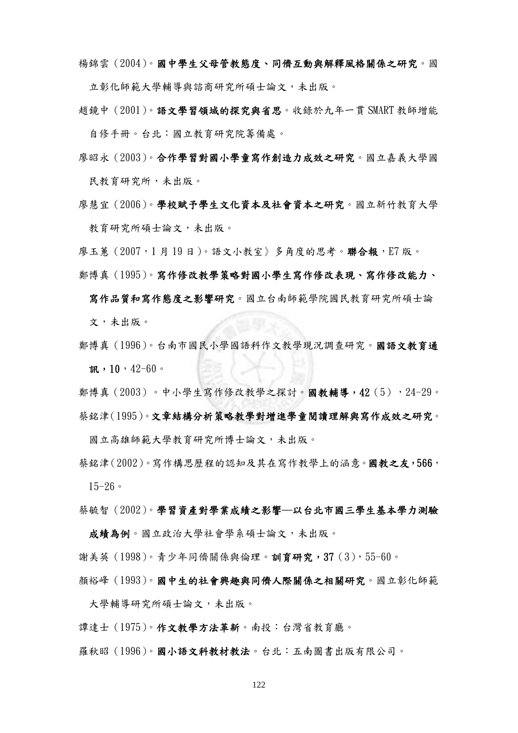楊錦雲(2004)。國中學生父母管教態度、同儕互動與解釋風格關係之研究。國 立彰化師範大學輔導與諮商研究所碩士論文,未出版。

趙鏡中(2001)。語文學習領域的探究與省思。收錄於九年一貫 SMART 教師增能 自修手冊。台北:國立教育研究院籌備處。

- 廖昭永(2003)。合作學習對國小學童寫作創造力成效之研究。國立嘉義大學國 民教育研究所,未出版。
- 廖慧宜(2006)。學校賦予學生文化資本及社會資本之研究。國立新竹教育大學 教育研究所碩士論文,未出版。

廖玉蕙(2007,1 月 19 日)。語文小教室》多角度的思考。聯合報,E7 版。

鄭博真(1995)。寫作修改教學策略對國小學生寫作修改表現、寫作修改能力、 寫作品質和寫作態度之影響研究。國立台南師範學院國民教育研究所碩士論

文,未出版。

- 鄭博真(1996)。台南市國民小學國語科作文教學現況調查研究。國語文教育通 訊,  $10, 42-60$ 。
- 鄭博真(2003)。中小學生寫作修改教學之探討。國教輔導,42(5),24-29。 蔡銘津(1995)。文章結構分析策略教學對增進學童閱讀理解與寫作成效之研究。

國立高雄師範大學教育研究所博士論文,未出版。

蔡銘津(2002)。寫作構思歷程的認知及其在寫作教學上的涵意。國教之友,566, 15-26。

蔡毓智(2002)。學習資產對學業成績之影響─以台北市國三學生基本學力測驗

成績為例。國立政治大學社會學系碩士論文,未出版。

謝美英(1998)。青少年同儕關係與倫理。訓育研究,37(3),55-60。

顏裕峰(1993)。國中生的社會興趣與同儕人際關係之相關研究。國立彰化師範

大學輔導研究所碩士論文,未出版。

譚達士(1975)。作文教學方法革新。南投:台灣省教育廳。

羅秋昭(1996)。國小語文科教材教法。台北:五南圖書出版有限公司。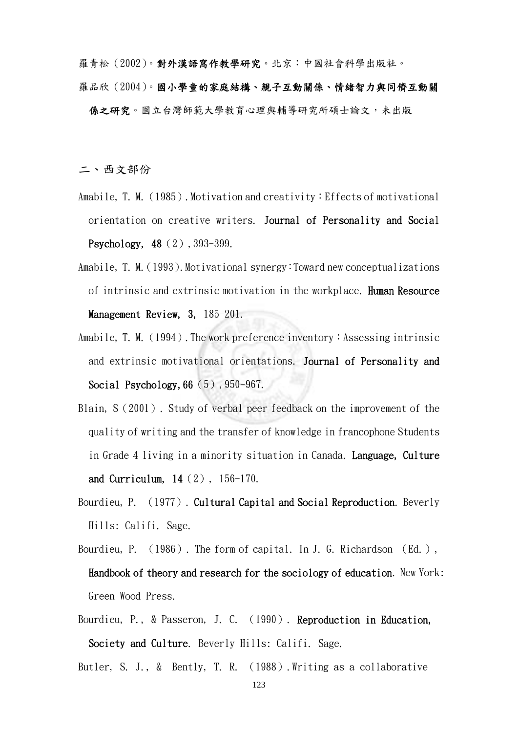羅青松(2002)。對外漢語寫作教學研究。北京:中國社會科學出版社。 羅品欣(2004)。國小學童的家庭結構、親子互動關係、情緒智力與同儕互動關 係之研究。國立台灣師範大學教育心理與輔導研究所碩士論文,未出版

二、西文部份

- Amabile, T. M. (1985). Motivation and creativity: Effects of motivational orientation on creative writers. Journal of Personality and Social Psychology, 48 (2), 393-399.
- Amabile, T. M. (1993). Motivational synergy: Toward new conceptualizations of intrinsic and extrinsic motivation in the workplace. Human Resource Management Review, 3, 185-201.
- Amabile, T. M. (1994). The work preference inventory: Assessing intrinsic and extrinsic motivational orientations. Journal of Personality and Social Psychology, 66 (5), 950-967.
- Blain, S(2001). Study of verbal peer feedback on the improvement of the quality of writing and the transfer of knowledge in francophone Students in Grade 4 living in a minority situation in Canada. Language, Culture and Curriculum, 14(2), 156-170.
- Bourdieu, P. (1977). Cultural Capital and Social Reproduction. Beverly Hills: Califi. Sage.
- Bourdieu, P. (1986). The form of capital. In J. G. Richardson (Ed.), Handbook of theory and research for the sociology of education. New York: Green Wood Press.
- Bourdieu, P., & Passeron, J. C. (1990). Reproduction in Education, Society and Culture. Beverly Hills: Califi. Sage.

Butler, S. J., & Bently, T. R. (1988).Writing as a collaborative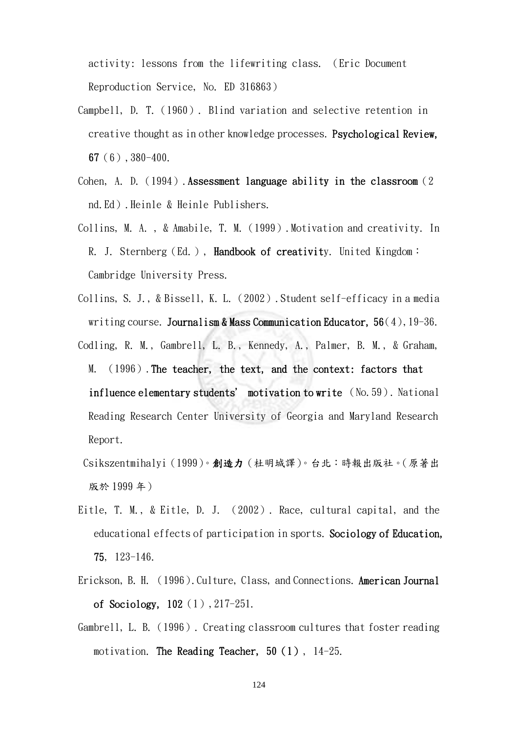activity: lessons from the lifewriting class. (Eric Document Reproduction Service, No. ED 316863)

- Campbell, D. T.(1960). Blind variation and selective retention in creative thought as in other knowledge processes. Psychological Review, 67(6),380-400.
- Cohen, A. D. (1994). Assessment language ability in the classroom (2) nd.Ed).Heinle & Heinle Publishers.
- Collins, M. A. , & Amabile, T. M.(1999).Motivation and creativity. In R. J. Sternberg (Ed.), Handbook of creativity. United Kingdom: Cambridge University Press.
- Collins, S. J., & Bissell, K. L.(2002).Student self-efficacy in a media writing course. Journalism & Mass Communication Educator,  $56(4)$ , 19-36.
- Codling, R. M., Gambrell, L. B., Kennedy, A., Palmer, B. M., & Graham, M. (1996). The teacher, the text, and the context: factors that influence elementary students' motivation to write (No.59). National Reading Research Center University of Georgia and Maryland Research Report.
- Csikszentmihalyi(1999)。創造力(杜明城譯)。台北:時報出版社。(原著出 版於 1999 年)
- Eitle, T. M., & Eitle, D. J. (2002). Race, cultural capital, and the educational effects of participation in sports. Sociology of Education, 75, 123-146.
- Erickson, B. H. (1996). Culture, Class, and Connections. American Journal of Sociology, 102(1),217-251.
- Gambrell, L. B.(1996). Creating classroom cultures that foster reading motivation. The Reading Teacher,  $50(1)$ ,  $14-25$ .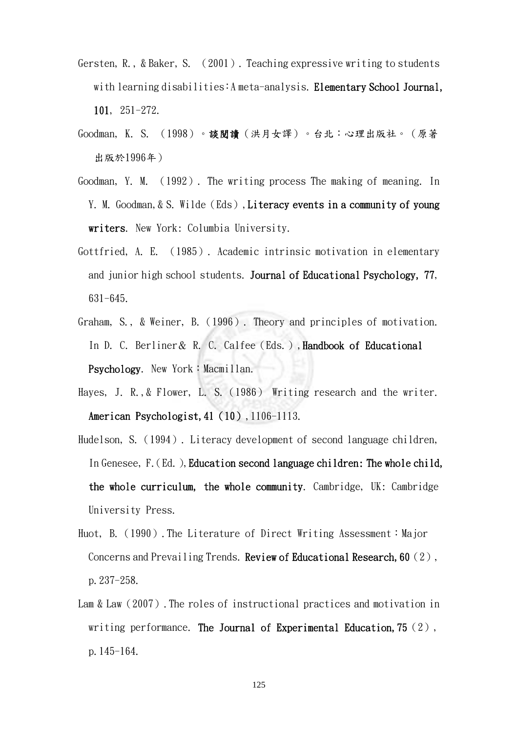- Gersten, R., & Baker, S. (2001). Teaching expressive writing to students with learning disabilities:A meta-analysis. Elementary School Journal, 101, 251-272.
- Goodman, K. S. (1998)。談閱讀(洪月女譯)。台北:心理出版社。(原著 出版於1996年)
- Goodman, Y. M. (1992). The writing process The making of meaning. In Y. M. Goodman, & S. Wilde (Eds), Literacy events in a community of young writers. New York: Columbia University.
- Gottfried, A. E. (1985). Academic intrinsic motivation in elementary and junior high school students. Journal of Educational Psychology, 77, 631-645.
- Graham, S., & Weiner, B.(1996). Theory and principles of motivation. In D. C. Berliner & R. C. Calfee (Eds.), Handbook of Educational Psychology. New York: Macmillan.
- Haves, J. R., & Flower, L. S. (1986) Writing research and the writer. American Psychologist, 41 (10), 1106-1113.
- Hudelson, S.(1994). Literacy development of second language children, In Genesee, F. (Ed.), Education second language children: The whole child, the whole curriculum, the whole community. Cambridge, UK: Cambridge University Press.
- Huot, B. (1990). The Literature of Direct Writing Assessment: Major Concerns and Prevailing Trends. Review of Educational Research, 60 (2), p.237-258.
- Lam & Law (2007). The roles of instructional practices and motivation in writing performance. The Journal of Experimental Education,  $75(2)$ , p.145-164.